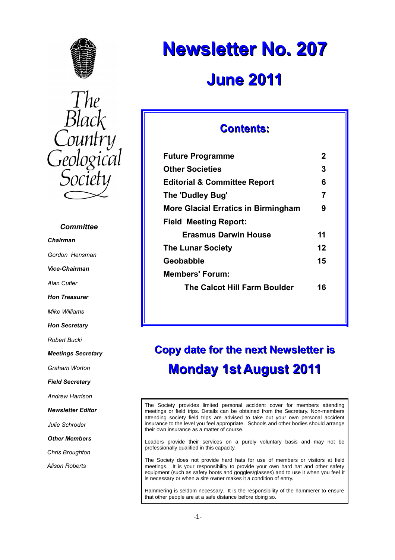

The<br>Black<br>Country Geological

### *Committee*

*Chairman*

*Gordon Hensman*

*Vice-Chairman*

*Alan Cutler*

*Hon Treasurer*

*Mike Williams*

*Hon Secretary*

*Robert Bucki*

*Meetings Secretary*

*Graham Worton*

*Field Secretary*

*Andrew Harrison*

*Newsletter Editor*

*Julie Schroder*

*Other Members*

*Chris Broughton*

*Alison Roberts*

# **Newsletter No. 207 June 2011**

### **Contents:**

| <b>Future Programme</b>                    | 2  |
|--------------------------------------------|----|
| <b>Other Societies</b>                     | 3  |
| <b>Editorial &amp; Committee Report</b>    | 6  |
| The 'Dudley Bug'                           | 7  |
| <b>More Glacial Erratics in Birmingham</b> | 9  |
| <b>Field Meeting Report:</b>               |    |
| <b>Erasmus Darwin House</b>                | 11 |
| <b>The Lunar Society</b>                   | 12 |
| Geobabble                                  | 15 |
| Members' Forum:                            |    |
| <b>The Calcot Hill Farm Boulder</b>        | 16 |
|                                            |    |

## **Copy date for the next Newsletter is Monday 1st August 2011**

The Society provides limited personal accident cover for members attending meetings or field trips. Details can be obtained from the Secretary. Non-members attending society field trips are advised to take out your own personal accident insurance to the level you feel appropriate. Schools and other bodies should arrange their own insurance as a matter of course.

Leaders provide their services on a purely voluntary basis and may not be professionally qualified in this capacity.

The Society does not provide hard hats for use of members or visitors at field meetings. It is your responsibility to provide your own hard hat and other safety equipment (such as safety boots and goggles/glasses) and to use it when you feel it is necessary or when a site owner makes it a condition of entry.

Hammering is seldom necessary. It is the responsibility of the hammerer to ensure that other people are at a safe distance before doing so.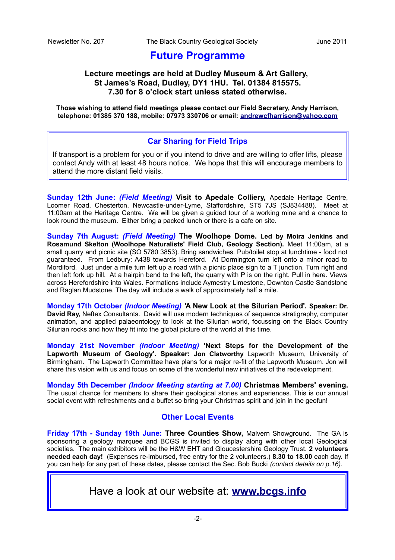## **Future Programme**

### **Lecture meetings are held at Dudley Museum & Art Gallery, St James's Road, Dudley, DY1 1HU. Tel. 01384 815575. 7.30 for 8 o'clock start unless stated otherwise.**

**Those wishing to attend field meetings please contact our Field Secretary, Andy Harrison, telephone: 01385 370 188, mobile: 07973 330706 or email: [andrewcfharrison@yahoo.com](mailto:andrewcfharrison@yahoo.com)**

### **Car Sharing for Field Trips**

If transport is a problem for you or if you intend to drive and are willing to offer lifts, please contact Andy with at least 48 hours notice. We hope that this will encourage members to attend the more distant field visits.

**Sunday 12th June:** *(Field Meeting)* **Visit to Apedale Colliery,** Apedale Heritage Centre, Loomer Road, Chesterton, Newcastle-under-Lyme, Staffordshire, ST5 7JS (SJ834488). Meet at 11:00am at the Heritage Centre. We will be given a guided tour of a working mine and a chance to look round the museum. Either bring a packed lunch or there is a cafe on site.

**Sunday 7th August:** *(Field Meeting)* **The Woolhope Dome. Led by Moira Jenkins and Rosamund Skelton (Woolhope Naturalists' Field Club, Geology Section).** Meet 11:00am, at a small quarry and picnic site (SO 5780 3853). Bring sandwiches. Pub/toilet stop at lunchtime - food not guaranteed. From Ledbury: A438 towards Hereford. At Dormington turn left onto a minor road to Mordiford. Just under a mile turn left up a road with a picnic place sign to a T junction. Turn right and then left fork up hill. At a hairpin bend to the left, the quarry with P is on the right. Pull in here. Views across Herefordshire into Wales. Formations include Aymestry Limestone, Downton Castle Sandstone and Raglan Mudstone. The day will include a walk of approximately half a mile.

**Monday 17th October** *(Indoor Meeting) '***A New Look at the Silurian Period'. Speaker: Dr. David Ray,** Neftex Consultants. David will use modern techniques of sequence stratigraphy, computer animation, and applied palaeontology to look at the Silurian world, focussing on the Black Country Silurian rocks and how they fit into the global picture of the world at this time.

**Monday 21st November** *(Indoor Meeting)* **'Next Steps for the Development of the Lapworth Museum of Geology'. Speaker: Jon Clatworthy** Lapworth Museum, University of Birmingham. The Lapworth Committee have plans for a major re-fit of the Lapworth Museum. Jon will share this vision with us and focus on some of the wonderful new initiatives of the redevelopment.

**Monday 5th December** *(Indoor Meeting starting at 7.00)* **Christmas Members' evening.** The usual chance for members to share their geological stories and experiences. This is our annual social event with refreshments and a buffet so bring your Christmas spirit and join in the geofun!

### **Other Local Events**

**Friday 17th - Sunday 19th June: Three Counties Show,** Malvern Showground. The GA is sponsoring a geology marquee and BCGS is invited to display along with other local Geological societies. The main exhibitors will be the H&W EHT and Gloucestershire Geology Trust. **2 volunteers needed each day!** (Expenses re-imbursed, free entry for the 2 volunteers.) **8.30 to 18.00** each day. If you can help for any part of these dates, please contact the Sec. Bob Bucki *(contact details on p.16).*

Have a look at our website at: **[www.bcgs.info](http://www.bcgs.info/)**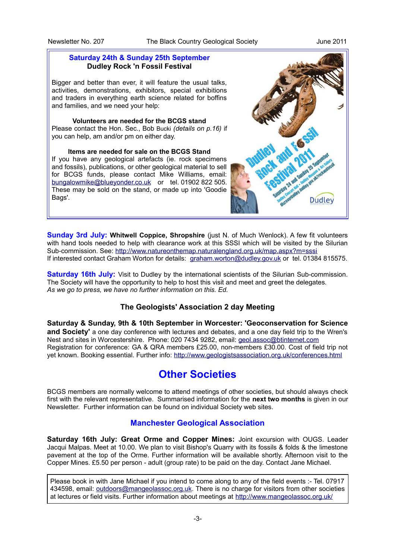### **Saturday 24th & Sunday 25th September Dudley Rock 'n Fossil Festival**

Bigger and better than ever, it will feature the usual talks, activities, demonstrations, exhibitors, special exhibitions and traders in everything earth science related for boffins and families, and we need your help:

**Volunteers are needed for the BCGS stand** Please contact the Hon. Sec., Bob Bucki *(details on p.16)* if you can help, am and/or pm on either day.

**Items are needed for sale on the BCGS Stand** If you have any geological artefacts (ie. rock specimens and fossils), publications, or other geological material to sell for BCGS funds, please contact Mike Williams, email: [bungalowmike@blueyonder.co.uk](mailto:bungalowmike@blueyonder.co.uk) or tel. 01902 822 505. These may be sold on the stand, or made up into 'Goodie Bags'.



**Sunday 3rd July: Whitwell Coppice, Shropshire** (just N. of Much Wenlock). A few fit volunteers with hand tools needed to help with clearance work at this SSSI which will be visited by the Silurian Sub-commission. See:<http://www.natureonthemap.naturalengland.org.uk/map.aspx?m=sssi> If interested contact Graham Worton for details: [graham.worton@dudley.gov.uk](mailto:graham.worton@dudley.gov.uk) or tel. 01384 815575.

**Saturday 16th July:** Visit to Dudley by the international scientists of the Silurian Sub-commission. The Society will have the opportunity to help to host this visit and meet and greet the delegates. *As we go to press, we have no further information on this. Ed.*

### **The Geologists' Association 2 day Meeting**

**Saturday & Sunday, 9th & 10th September in Worcester: 'Geoconservation for Science and Society'** a one day conference with lectures and debates, and a one day field trip to the Wren's Nest and sites in Worcestershire. Phone: 020 7434 9282, email: [geol.assoc@btinternet.com](mailto:geol.assoc@btinternet.com) Registration for conference: GA & QRA members £25.00, non-members £30.00. Cost of field trip not yet known. Booking essential. Further info:<http://www.geologistsassociation.org.uk/conferences.html>

## **Other Societies**

BCGS members are normally welcome to attend meetings of other societies, but should always check first with the relevant representative. Summarised information for the **next two months** is given in our Newsletter. Further information can be found on individual Society web sites.

### **Manchester Geological Association**

**Saturday 16th July: Great Orme and Copper Mines:** Joint excursion with OUGS. Leader Jacqui Malpas. Meet at 10.00. We plan to visit Bishop's Quarry with its fossils & folds & the limestone pavement at the top of the Orme. Further information will be available shortly. Afternoon visit to the Copper Mines. £5.50 per person - adult (group rate) to be paid on the day. Contact Jane Michael.

Please book in with Jane Michael if you intend to come along to any of the field events :- Tel. 07917 434598, email: [outdoors@mangeolassoc.org.uk.](mailto:outdoors@mangeolassoc.org.uk) There is no charge for visitors from other societies at lectures or field visits. Further information about meetings at<http://www.mangeolassoc.org.uk/>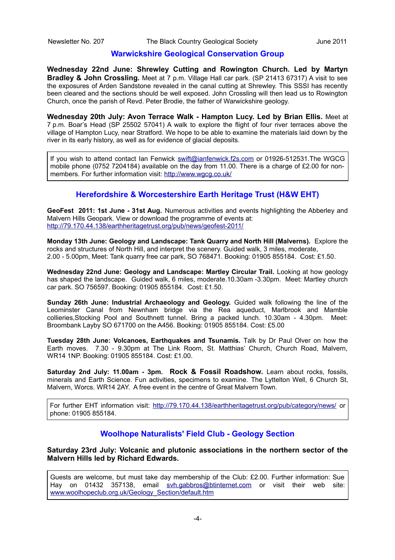### **Warwickshire Geological Conservation Group**

**Wednesday 22nd June: Shrewley Cutting and Rowington Church. Led by Martyn Bradley & John Crossling.** Meet at 7 p.m. Village Hall car park. (SP 21413 67317) A visit to see the exposures of Arden Sandstone revealed in the canal cutting at Shrewley. This SSSI has recently been cleared and the sections should be well exposed. John Crossling will then lead us to Rowington Church, once the parish of Revd. Peter Brodie, the father of Warwickshire geology.

**Wednesday 20th July: Avon Terrace Walk - Hampton Lucy. Led by Brian Ellis.** Meet at 7 p.m. Boar's Head (SP 25502 57041) A walk to explore the flight of four river terraces above the village of Hampton Lucy, near Stratford. We hope to be able to examine the materials laid down by the river in its early history, as well as for evidence of glacial deposits.

If you wish to attend contact Ian Fenwick [swift@ianfenwick.f2s.com](mailto:swift@ianfenwick.f2s.com) or 01926-512531.The WGCG mobile phone (0752 7204184) available on the day from 11.00. There is a charge of £2.00 for nonmembers. For further information visit:<http://www.wgcg.co.uk/>

### **Herefordshire & Worcestershire Earth Heritage Trust (H&W EHT)**

**GeoFest 2011: 1st June - 31st Aug.** Numerous activities and events highlighting the Abberley and Malvern Hills Geopark. View or download the programme of events at: <http://79.170.44.138/earthheritagetrust.org/pub/news/geofest-2011/>

**Monday 13th June: Geology and Landscape: Tank Quarry and North Hill (Malverns).** Explore the rocks and structures of North Hill, and interpret the scenery. Guided walk, 3 miles, moderate, 2.00 - 5.00pm, Meet: Tank quarry free car park, SO 768471. Booking: 01905 855184. Cost: £1.50.

**Wednesday 22nd June: Geology and Landscape: Martley Circular Trail.** Looking at how geology has shaped the landscape. Guided walk, 6 miles, moderate.10.30am -3.30pm. Meet: Martley church car park. SO 756597. Booking: 01905 855184. Cost: £1.50.

**Sunday 26th June: Industrial Archaeology and Geology.** Guided walk following the line of the Leominster Canal from Newnham bridge via the Rea aqueduct, Marlbrook and Mamble collieries,Stocking Pool and Southnett tunnel. Bring a packed lunch. 10.30am - 4.30pm. Meet: Broombank Layby SO 671700 on the A456. Booking: 01905 855184. Cost: £5.00

**Tuesday 28th June: Volcanoes, Earthquakes and Tsunamis.** Talk by Dr Paul Olver on how the Earth moves. 7.30 - 9.30pm at The Link Room, St. Matthias' Church, Church Road, Malvern, WR14 1NP. Booking: 01905 855184. Cost: £1.00.

**Saturday 2nd July: 11.00am - 3pm. Rock & Fossil Roadshow.** Learn about rocks, fossils, minerals and Earth Science. Fun activities, specimens to examine. The Lyttelton Well, 6 Church St, Malvern, Worcs. WR14 2AY. A free event in the centre of Great Malvern Town.

For further EHT information visit:<http://79.170.44.138/earthheritagetrust.org/pub/category/news/>or phone: 01905 855184.

### **Woolhope Naturalists' Field Club - Geology Section**

**Saturday 23rd July: Volcanic and plutonic associations in the northern sector of the Malvern Hills led by Richard Edwards.**

Guests are welcome, but must take day membership of the Club: £2.00. Further information: Sue Hay on 01432 357138, email [svh.gabbros@btinternet.com](mailto:svh.gabbros@btinternet.com) or visit their web site: [www.woolhopeclub.org.uk/Geology\\_Section/default.htm](http://www.woolhopeclub.org.uk/Geology_Section/default.htm)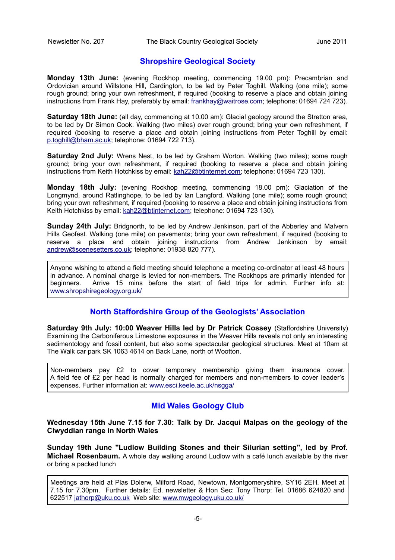### **Shropshire Geological Society**

**Monday 13th June:** (evening Rockhop meeting, commencing 19.00 pm): Precambrian and Ordovician around Willstone Hill, Cardington, to be led by Peter Toghill. Walking (one mile); some rough ground; bring your own refreshment, if required (booking to reserve a place and obtain joining instructions from Frank Hay, preferably by email: [frankhay@waitrose.com;](mailto:frankhay@waitrose.com) telephone: 01694 724 723).

**Saturday 18th June:** (all day, commencing at 10.00 am): Glacial geology around the Stretton area, to be led by Dr Simon Cook. Walking (two miles) over rough ground; bring your own refreshment, if required (booking to reserve a place and obtain joining instructions from Peter Toghill by email: [p.toghill@bham.ac.uk;](mailto:p.toghill@bham.ac.uk) telephone: 01694 722 713).

**Saturday 2nd July:** Wrens Nest, to be led by Graham Worton. Walking (two miles); some rough ground; bring your own refreshment, if required (booking to reserve a place and obtain joining instructions from Keith Hotchkiss by email: [kah22@btinternet.com;](mailto:kah22@btinternet.com) telephone: 01694 723 130).

**Monday 18th July:** (evening Rockhop meeting, commencing 18.00 pm): Glaciation of the Longmynd, around Ratlinghope, to be led by Ian Langford. Walking (one mile); some rough ground; bring your own refreshment, if required (booking to reserve a place and obtain joining instructions from Keith Hotchkiss by email: [kah22@btinternet.com;](mailto:kah22@btinternet.com) telephone: 01694 723 130).

**Sunday 24th July:** Bridgnorth, to be led by Andrew Jenkinson, part of the Abberley and Malvern Hills Geofest. Walking (one mile) on pavements; bring your own refreshment, if required (booking to reserve a place and obtain joining instructions from Andrew Jenkinson by email: [andrew@scenesetters.co.uk;](mailto:andrew@scenesetters.co.uk) telephone: 01938 820 777).

Anyone wishing to attend a field meeting should telephone a meeting co-ordinator at least 48 hours in advance. A nominal charge is levied for non-members. The Rockhops are primarily intended for beginners. Arrive 15 mins before the start of field trips for admin. Further info at: [www.shropshiregeology.org.uk/](http://www.shropshiregeology.org.uk/)

### **North Staffordshire Group of the Geologists' Association**

**Saturday 9th July: 10:00 Weaver Hills led by Dr Patrick Cossey** (Staffordshire University) Examining the Carboniferous Limestone exposures in the Weaver Hills reveals not only an interesting sedimentology and fossil content, but also some spectacular geological structures. Meet at 10am at The Walk car park SK 1063 4614 on Back Lane, north of Wootton.

Non-members pay £2 to cover temporary membership giving them insurance cover. A field fee of £2 per head is normally charged for members and non-members to cover leader's expenses. Further information at: [www.esci.keele.ac.uk/nsgga/](http://www.esci.keele.ac.uk/nsgga/)

### **Mid Wales Geology Club**

### **Wednesday 15th June 7.15 for 7.30: Talk by Dr. Jacqui Malpas on the geology of the Clwyddian range in North Wales**

**Sunday 19th June "Ludlow Building Stones and their Silurian setting", led by Prof. Michael Rosenbaum.** A whole day walking around Ludlow with a café lunch available by the river or bring a packed lunch

Meetings are held at Plas Dolerw, Milford Road, Newtown, Montgomeryshire, SY16 2EH. Meet at 7.15 for 7.30pm. Further details: Ed. newsletter & Hon Sec: Tony Thorp: Tel. 01686 624820 and 622517 [jathorp@uku.co.uk](mailto:jathorp@uku.co.uk) Web site: [www.mwgeology.uku.co.uk/](http://www.mwgeology.uku.co.uk/)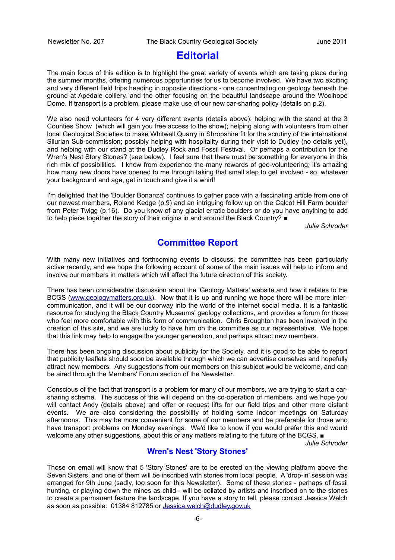### **Editorial**

The main focus of this edition is to highlight the great variety of events which are taking place during the summer months, offering numerous opportunities for us to become involved. We have two exciting and very different field trips heading in opposite directions - one concentrating on geology beneath the ground at Apedale colliery, and the other focusing on the beautiful landscape around the Woolhope Dome. If transport is a problem, please make use of our new car-sharing policy (details on p.2).

We also need volunteers for 4 very different events (details above): helping with the stand at the 3 Counties Show (which will gain you free access to the show); helping along with volunteers from other local Geological Societies to make Whitwell Quarry in Shropshire fit for the scrutiny of the international Silurian Sub-commission; possibly helping with hospitality during their visit to Dudley (no details yet), and helping with our stand at the Dudley Rock and Fossil Festival. Or perhaps a contribution for the Wren's Nest Story Stones? (see below). I feel sure that there must be something for everyone in this rich mix of possibilities. I know from experience the many rewards of geo-volunteering; it's amazing how many new doors have opened to me through taking that small step to get involved - so, whatever your background and age, get in touch and give it a whirl!

I'm delighted that the 'Boulder Bonanza' continues to gather pace with a fascinating article from one of our newest members, Roland Kedge (p.9) and an intriguing follow up on the Calcot Hill Farm boulder from Peter Twigg (p.16). Do you know of any glacial erratic boulders or do you have anything to add to help piece together the story of their origins in and around the Black Country? ■

*Julie Schroder*

### **Committee Report**

With many new initiatives and forthcoming events to discuss, the committee has been particularly active recently, and we hope the following account of some of the main issues will help to inform and involve our members in matters which will affect the future direction of this society.

There has been considerable discussion about the 'Geology Matters' website and how it relates to the BCGS [\(www.geologymatters.org.uk\)](http://www.geologymatters.org.uk/). Now that it is up and running we hope there will be more intercommunication, and it will be our doorway into the world of the internet social media. It is a fantastic resource for studying the Black Country Museums' geology collections, and provides a forum for those who feel more comfortable with this form of communication. Chris Broughton has been involved in the creation of this site, and we are lucky to have him on the committee as our representative. We hope that this link may help to engage the younger generation, and perhaps attract new members.

There has been ongoing discussion about publicity for the Society, and it is good to be able to report that publicity leaflets should soon be available through which we can advertise ourselves and hopefully attract new members. Any suggestions from our members on this subject would be welcome, and can be aired through the Members' Forum section of the Newsletter.

Conscious of the fact that transport is a problem for many of our members, we are trying to start a carsharing scheme. The success of this will depend on the co-operation of members, and we hope you will contact Andy (details above) and offer or request lifts for our field trips and other more distant events. We are also considering the possibility of holding some indoor meetings on Saturday afternoons. This may be more convenient for some of our members and be preferable for those who have transport problems on Monday evenings. We'd like to know if you would prefer this and would welcome any other suggestions, about this or any matters relating to the future of the BCGS. ■

*Julie Schroder*

### **Wren's Nest 'Story Stones'**

Those on email will know that 5 'Story Stones' are to be erected on the viewing platform above the Seven Sisters, and one of them will be inscribed with stories from local people. A 'drop-in' session was arranged for 9th June (sadly, too soon for this Newsletter). Some of these stories - perhaps of fossil hunting, or playing down the mines as child - will be collated by artists and inscribed on to the stones to create a permanent feature the landscape. If you have a story to tell, please contact Jessica Welch as soon as possible: 01384 812785 or [Jessica.welch@dudley.gov.uk](mailto:Jessica.welch@dudley.gov.uk)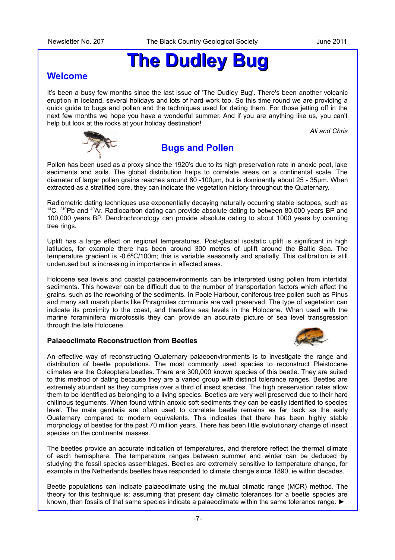# **The Dudley Bug**

### **Welcome**

It's been a busy few months since the last issue of 'The Dudley Bug'. There's been another volcanic eruption in Iceland, several holidays and lots of hard work too. So this time round we are providing a quick guide to bugs and pollen and the techniques used for dating them. For those jetting off in the next few months we hope you have a wonderful summer. And if you are anything like us, you can't help but look at the rocks at your holiday destination!

*Ali and Chris*



### **Bugs and Pollen**

Pollen has been used as a proxy since the 1920's due to its high preservation rate in anoxic peat, lake sediments and soils. The global distribution helps to correlate areas on a continental scale. The diameter of larger pollen grains reaches around 80 -100um, but is dominantly about 25 - 35um. When extracted as a stratified core, they can indicate the vegetation history throughout the Quaternary.

Radiometric dating techniques use exponentially decaying naturally occurring stable isotopes, such as  $14$ C,  $210$ Pb and  $40$ Ar. Radiocarbon dating can provide absolute dating to between 80,000 years BP and 100,000 years BP. Dendrochronology can provide absolute dating to about 1000 years by counting tree rings.

Uplift has a large effect on regional temperatures. Post-glacial isostatic uplift is significant in high latitudes, for example there has been around 300 metres of uplift around the Baltic Sea. The temperature gradient is -0.6ºC/100m; this is variable seasonally and spatially. This calibration is still underused but is increasing in importance in affected areas.

Holocene sea levels and coastal palaeoenvironments can be interpreted using pollen from intertidal sediments. This however can be difficult due to the number of transportation factors which affect the grains, such as the reworking of the sediments. In Poole Harbour, coniferous tree pollen such as Pinus and many salt marsh plants like Phragmites communis are well preserved. The type of vegetation can indicate its proximity to the coast, and therefore sea levels in the Holocene. When used with the marine foraminifera microfossils they can provide an accurate picture of sea level transgression through the late Holocene.

### **Palaeoclimate Reconstruction from Beetles**



An effective way of reconstructing Quaternary palaeoenvironments is to investigate the range and distribution of beetle populations. The most commonly used species to reconstruct Pleistocene climates are the Coleoptera beetles. There are 300,000 known species of this beetle. They are suited to this method of dating because they are a varied group with distinct tolerance ranges. Beetles are extremely abundant as they comprise over a third of insect species. The high preservation rates allow them to be identified as belonging to a living species. Beetles are very well preserved due to their hard chitinous teguments. When found within anoxic soft sediments they can be easily identified to species level. The male genitalia are often used to correlate beetle remains as far back as the early Quaternary compared to modern equivalents. This indicates that there has been highly stable morphology of beetles for the past 70 million years. There has been little evolutionary change of insect species on the continental masses.

The beetles provide an accurate indication of temperatures, and therefore reflect the thermal climate of each hemisphere. The temperature ranges between summer and winter can be deduced by studying the fossil species assemblages. Beetles are extremely sensitive to temperature change, for example in the Netherlands beetles have responded to climate change since 1890, ie within decades.

Beetle populations can indicate palaeoclimate using the mutual climatic range (MCR) method. The theory for this technique is: assuming that present day climatic tolerances for a beetle species are known, then fossils of that same species indicate a palaeoclimate within the same tolerance range. ►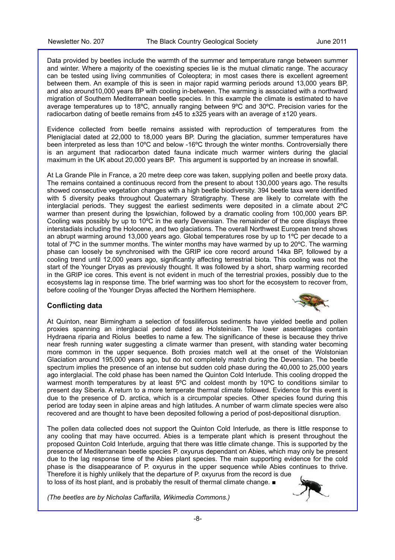Data provided by beetles include the warmth of the summer and temperature range between summer and winter. Where a majority of the coexisting species lie is the mutual climatic range. The accuracy can be tested using living communities of Coleoptera; in most cases there is excellent agreement between them. An example of this is seen in major rapid warming periods around 13,000 years BP, and also around10,000 years BP with cooling in-between. The warming is associated with a northward migration of Southern Mediterranean beetle species. In this example the climate is estimated to have average temperatures up to 18ºC, annually ranging between 9ºC and 30ºC. Precision varies for the radiocarbon dating of beetle remains from  $\pm 45$  to  $\pm 325$  years with an average of  $\pm 120$  years.

Evidence collected from beetle remains assisted with reproduction of temperatures from the Pleniglacial dated at 22,000 to 18,000 years BP. During the glaciation, summer temperatures have been interpreted as less than 10ºC and below -16ºC through the winter months. Controversially there is an argument that radiocarbon dated fauna indicate much warmer winters during the glacial maximum in the UK about 20,000 years BP. This argument is supported by an increase in snowfall.

At La Grande Pile in France, a 20 metre deep core was taken, supplying pollen and beetle proxy data. The remains contained a continuous record from the present to about 130,000 years ago. The results showed consecutive vegetation changes with a high beetle biodiversity. 394 beetle taxa were identified with 5 diversity peaks throughout Quaternary Stratigraphy. These are likely to correlate with the interglacial periods. They suggest the earliest sediments were deposited in a climate about 2ºC warmer than present during the Ipswichian, followed by a dramatic cooling from 100,000 years BP. Cooling was possibly by up to 10ºC in the early Devensian. The remainder of the core displays three interstadials including the Holocene, and two glaciations. The overall Northwest European trend shows an abrupt warming around 13,000 years ago. Global temperatures rose by up to 1ºC per decade to a total of 7ºC in the summer months. The winter months may have warmed by up to 20ºC. The warming phase can loosely be synchronised with the GRIP ice core record around 14ka BP, followed by a cooling trend until 12,000 years ago, significantly affecting terrestrial biota. This cooling was not the start of the Younger Dryas as previously thought. It was followed by a short, sharp warming recorded in the GRIP ice cores. This event is not evident in much of the terrestrial proxies, possibly due to the ecosystems lag in response time. The brief warming was too short for the ecosystem to recover from, before cooling of the Younger Dryas affected the Northern Hemisphere.

### **Conflicting data**



At Quinton, near Birmingham a selection of fossiliferous sediments have yielded beetle and pollen proxies spanning an interglacial period dated as Holsteinian. The lower assemblages contain Hydraena riparia and Riolus beetles to name a few. The significance of these is because they thrive near fresh running water suggesting a climate warmer than present, with standing water becoming more common in the upper sequence. Both proxies match well at the onset of the Wolstonian Glaciation around 195,000 years ago, but do not completely match during the Devensian. The beetle spectrum implies the presence of an intense but sudden cold phase during the 40,000 to 25,000 years ago interglacial. The cold phase has been named the Quinton Cold Interlude. This cooling dropped the warmest month temperatures by at least 5°C and coldest month by 10°C to conditions similar to present day Siberia. A return to a more temperate thermal climate followed. Evidence for this event is due to the presence of D. arctica, which is a circumpolar species. Other species found during this period are today seen in alpine areas and high latitudes. A number of warm climate species were also recovered and are thought to have been deposited following a period of post-depositional disruption.

The pollen data collected does not support the Quinton Cold Interlude, as there is little response to any cooling that may have occurred. Abies is a temperate plant which is present throughout the proposed Quinton Cold Interlude, arguing that there was little climate change. This is supported by the presence of Mediterranean beetle species P. oxyurus dependant on Abies, which may only be present due to the lag response time of the Abies plant species. The main supporting evidence for the cold phase is the disappearance of P. oxyurus in the upper sequence while Abies continues to thrive. Therefore it is highly unlikely that the departure of P. oxyurus from the record is due to loss of its host plant, and is probably the result of thermal climate change. ■

*(The beetles are by Nicholas Caffarilla, Wikimedia Commons.)*

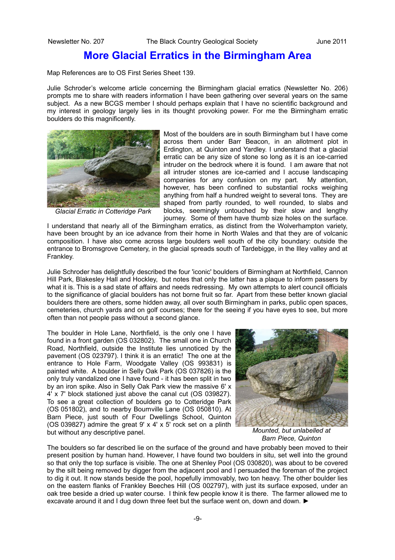### **More Glacial Erratics in the Birmingham Area**

Map References are to OS First Series Sheet 139.

Julie Schroder's welcome article concerning the Birmingham glacial erratics (Newsletter No. 206) prompts me to share with readers information I have been gathering over several years on the same subject. As a new BCGS member I should perhaps explain that I have no scientific background and my interest in geology largely lies in its thought provoking power. For me the Birmingham erratic boulders do this magnificently.



*Glacial Erratic in Cotteridge Park*

Most of the boulders are in south Birmingham but I have come across them under Barr Beacon, in an allotment plot in Erdington, at Quinton and Yardley. I understand that a glacial erratic can be any size of stone so long as it is an ice-carried intruder on the bedrock where it is found. I am aware that not all intruder stones are ice-carried and I accuse landscaping companies for any confusion on my part. My attention, however, has been confined to substantial rocks weighing anything from half a hundred weight to several tons. They are shaped from partly rounded, to well rounded, to slabs and blocks, seemingly untouched by their slow and lengthy journey. Some of them have thumb size holes on the surface.

I understand that nearly all of the Birmingham erratics, as distinct from the Wolverhampton variety, have been brought by an ice advance from their home in North Wales and that they are of volcanic composition. I have also come across large boulders well south of the city boundary: outside the entrance to Bromsgrove Cemetery, in the glacial spreads south of Tardebigge, in the Illey valley and at Frankley.

Julie Schroder has delightfully described the four 'iconic' boulders of Birmingham at Northfield, Cannon Hill Park, Blakesley Hall and Hockley, but notes that only the latter has a plaque to inform passers by what it is. This is a sad state of affairs and needs redressing. My own attempts to alert council officials to the significance of glacial boulders has not borne fruit so far. Apart from these better known glacial boulders there are others, some hidden away, all over south Birmingham in parks, public open spaces, cemeteries, church yards and on golf courses; there for the seeing if you have eyes to see, but more often than not people pass without a second glance.

The boulder in Hole Lane, Northfield, is the only one I have found in a front garden (OS 032802). The small one in Church Road, Northfield, outside the Institute lies unnoticed by the pavement (OS 023797). I think it is an erratic! The one at the entrance to Hole Farm, Woodgate Valley (OS 993831) is painted white. A boulder in Selly Oak Park (OS 037826) is the only truly vandalized one I have found - it has been split in two by an iron spike. Also in Selly Oak Park view the massive 6' x 4' x 7' block stationed just above the canal cut (OS 039827). To see a great collection of boulders go to Cotteridge Park (OS 051802), and to nearby Bournville Lane (OS 050810). At Barn Piece, just south of Four Dwellings School, Quinton (OS 039827) admire the great 9' x 4' x 5' rock set on a plinth but without any descriptive panel.



*Mounted, but unlabelled at Barn Piece, Quinton*

The boulders so far described lie on the surface of the ground and have probably been moved to their present position by human hand. However, I have found two boulders in situ, set well into the ground so that only the top surface is visible. The one at Shenley Pool (OS 030820), was about to be covered by the silt being removed by digger from the adjacent pool and I persuaded the foreman of the project to dig it out. It now stands beside the pool, hopefully immovably, two ton heavy. The other boulder lies on the eastern flanks of Frankley Beeches Hill (OS 002797), with just its surface exposed, under an oak tree beside a dried up water course. I think few people know it is there. The farmer allowed me to excavate around it and I dug down three feet but the surface went on, down and down. ►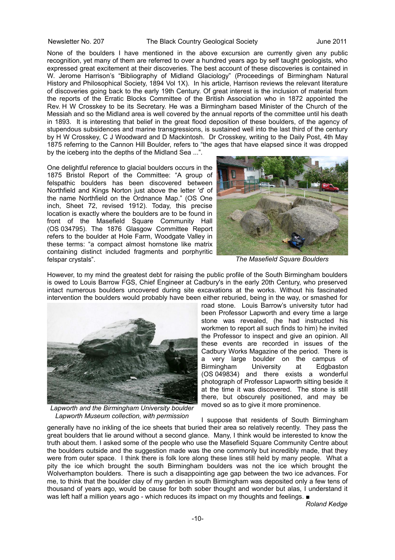None of the boulders I have mentioned in the above excursion are currently given any public recognition, yet many of them are referred to over a hundred years ago by self taught geologists, who expressed great excitement at their discoveries. The best account of these discoveries is contained in W. Jerome Harrison's "Bibliography of Midland Glaciology" (Proceedings of Birmingham Natural History and Philosophical Society, 1894 Vol 1X). In his article, Harrison reviews the relevant literature of discoveries going back to the early 19th Century. Of great interest is the inclusion of material from the reports of the Erratic Blocks Committee of the British Association who in 1872 appointed the Rev. H W Crosskey to be its Secretary. He was a Birmingham based Minister of the Church of the Messiah and so the Midland area is well covered by the annual reports of the committee until his death in 1893. It is interesting that belief in the great flood deposition of these boulders, of the agency of stupendous subsidences and marine transgressions, is sustained well into the last third of the century by H W Crosskey, C J Woodward and D Mackintosh. Dr Crosskey, writing to the Daily Post, 4th May 1875 referring to the Cannon Hill Boulder, refers to "the ages that have elapsed since it was dropped by the iceberg into the depths of the Midland Sea ...".

One delightful reference to glacial boulders occurs in the 1875 Bristol Report of the Committee: "A group of felspathic boulders has been discovered between Northfield and Kings Norton just above the letter 'd' of the name Northfield on the Ordnance Map." (OS One inch, Sheet 72, revised 1912). Today, this precise location is exactly where the boulders are to be found in front of the Masefield Square Community Hall (OS 034795). The 1876 Glasgow Committee Report refers to the boulder at Hole Farm, Woodgate Valley in these terms: "a compact almost hornstone like matrix containing distinct included fragments and porphyritic felspar crystals".



*The Masefield Square Boulders*

However, to my mind the greatest debt for raising the public profile of the South Birmingham boulders is owed to Louis Barrow FGS, Chief Engineer at Cadbury's in the early 20th Century, who preserved intact numerous boulders uncovered during site excavations at the works. Without his fascinated intervention the boulders would probably have been either reburied, being in the way, or smashed for



*Lapworth and the Birmingham University boulder Lapworth Museum collection, with permission*

road stone. Louis Barrow's university tutor had been Professor Lapworth and every time a large stone was revealed, (he had instructed his workmen to report all such finds to him) he invited the Professor to inspect and give an opinion. All these events are recorded in issues of the Cadbury Works Magazine of the period. There is a very large boulder on the campus of Birmingham University at Edgbaston (OS 049834) and there exists a wonderful photograph of Professor Lapworth sitting beside it at the time it was discovered. The stone is still there, but obscurely positioned, and may be moved so as to give it more prominence.

I suppose that residents of South Birmingham generally have no inkling of the ice sheets that buried their area so relatively recently. They pass the great boulders that lie around without a second glance. Many, I think would be interested to know the truth about them. I asked some of the people who use the Masefield Square Community Centre about the boulders outside and the suggestion made was the one commonly but incredibly made, that they were from outer space. I think there is folk lore along these lines still held by many people. What a pity the ice which brought the south Birmingham boulders was not the ice which brought the Wolverhampton boulders. There is such a disappointing age gap between the two ice advances. For me, to think that the boulder clay of my garden in south Birmingham was deposited only a few tens of thousand of years ago, would be cause for both sober thought and wonder but alas, I understand it was left half a million years ago - which reduces its impact on my thoughts and feelings. ■

*Roland Kedge*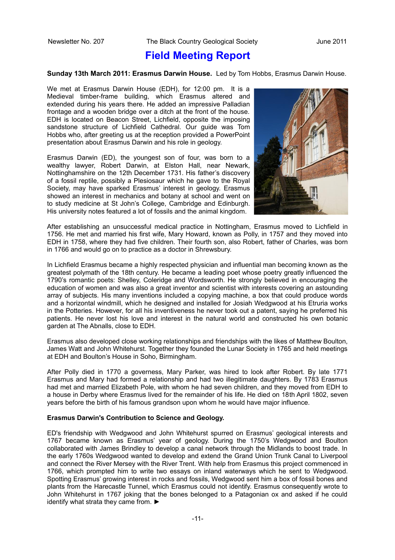### **Field Meeting Report**

#### **Sunday 13th March 2011: Erasmus Darwin House.** Led by Tom Hobbs, Erasmus Darwin House.

We met at Erasmus Darwin House (EDH), for 12:00 pm. It is a Medieval timber-frame building, which Erasmus altered and extended during his years there. He added an impressive Palladian frontage and a wooden bridge over a ditch at the front of the house. EDH is located on Beacon Street, Lichfield, opposite the imposing sandstone structure of Lichfield Cathedral. Our guide was Tom Hobbs who, after greeting us at the reception provided a PowerPoint presentation about Erasmus Darwin and his role in geology.

Erasmus Darwin (ED), the youngest son of four, was born to a wealthy lawyer, Robert Darwin, at Elston Hall, near Newark, Nottinghamshire on the 12th December 1731. His father's discovery of a fossil reptile, possibly a Plesiosaur which he gave to the Royal Society, may have sparked Erasmus' interest in geology. Erasmus showed an interest in mechanics and botany at school and went on to study medicine at St John's College, Cambridge and Edinburgh. His university notes featured a lot of fossils and the animal kingdom.



After establishing an unsuccessful medical practice in Nottingham, Erasmus moved to Lichfield in 1756. He met and married his first wife, Mary Howard, known as Polly, in 1757 and they moved into EDH in 1758, where they had five children. Their fourth son, also Robert, father of Charles, was born in 1766 and would go on to practice as a doctor in Shrewsbury.

In Lichfield Erasmus became a highly respected physician and influential man becoming known as the greatest polymath of the 18th century. He became a leading poet whose poetry greatly influenced the 1790's romantic poets: Shelley, Coleridge and Wordsworth. He strongly believed in encouraging the education of women and was also a great inventor and scientist with interests covering an astounding array of subjects. His many inventions included a copying machine, a box that could produce words and a horizontal windmill, which he designed and installed for Josiah Wedgwood at his Etruria works in the Potteries. However, for all his inventiveness he never took out a patent, saying he preferred his patients. He never lost his love and interest in the natural world and constructed his own botanic garden at The Abnalls, close to EDH.

Erasmus also developed close working relationships and friendships with the likes of Matthew Boulton, James Watt and John Whitehurst. Together they founded the Lunar Society in 1765 and held meetings at EDH and Boulton's House in Soho, Birmingham.

After Polly died in 1770 a governess, Mary Parker, was hired to look after Robert. By late 1771 Erasmus and Mary had formed a relationship and had two illegitimate daughters. By 1783 Erasmus had met and married Elizabeth Pole, with whom he had seven children, and they moved from EDH to a house in Derby where Erasmus lived for the remainder of his life. He died on 18th April 1802, seven years before the birth of his famous grandson upon whom he would have major influence.

#### **Erasmus Darwin's Contribution to Science and Geology.**

ED's friendship with Wedgwood and John Whitehurst spurred on Erasmus' geological interests and 1767 became known as Erasmus' year of geology. During the 1750's Wedgwood and Boulton collaborated with James Brindley to develop a canal network through the Midlands to boost trade. In the early 1760s Wedgwood wanted to develop and extend the Grand Union Trunk Canal to Liverpool and connect the River Mersey with the River Trent. With help from Erasmus this project commenced in 1766, which prompted him to write two essays on inland waterways which he sent to Wedgwood. Spotting Erasmus' growing interest in rocks and fossils, Wedgwood sent him a box of fossil bones and plants from the Harecastle Tunnel, which Erasmus could not identify. Erasmus consequently wrote to John Whitehurst in 1767 joking that the bones belonged to a Patagonian ox and asked if he could identify what strata they came from. ►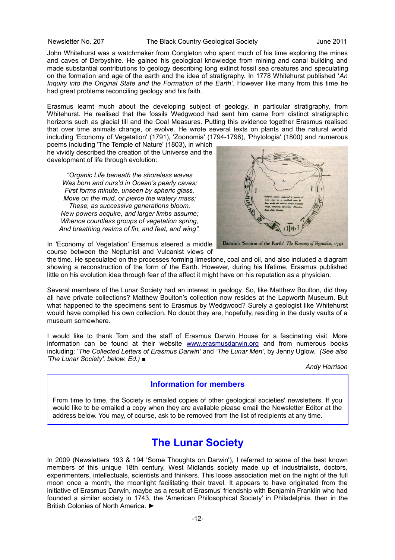John Whitehurst was a watchmaker from Congleton who spent much of his time exploring the mines and caves of Derbyshire. He gained his geological knowledge from mining and canal building and made substantial contributions to geology describing long extinct fossil sea creatures and speculating on the formation and age of the earth and the idea of stratigraphy. In 1778 Whitehurst published '*An Inquiry into the Original State and* t*he Formation of the Earth'.* However like many from this time he had great problems reconciling geology and his faith.

Erasmus learnt much about the developing subject of geology, in particular stratigraphy, from Whitehurst. He realised that the fossils Wedgwood had sent him came from distinct stratigraphic horizons such as glacial till and the Coal Measures. Putting this evidence together Erasmus realised that over time animals change, or evolve. He wrote several texts on plants and the natural world including 'Economy of Vegetation' (1791), 'Zoonomia' (1794-1796), 'Phytologia' (1800) and numerous

poems including 'The Temple of Nature' (1803), in which he vividly described the creation of the Universe and the development of life through evolution:

*"Organic Life beneath the shoreless waves Was born and nurs'd in Ocean's pearly caves; First forms minute, unseen by spheric glass, Move on the mud, or pierce the watery mass; These, as successive generations bloom, New powers acquire, and larger limbs assume; Whence countless groups of vegetation spring, And breathing realms of fin, and feet, and wing".*



In 'Economy of Vegetation' Erasmus steered a middle course between the Neptunist and Vulcanist views of

the time. He speculated on the processes forming limestone, coal and oil, and also included a diagram showing a reconstruction of the form of the Earth. However, during his lifetime, Erasmus published little on his evolution idea through fear of the affect it might have on his reputation as a physician.

Several members of the Lunar Society had an interest in geology. So, like Matthew Boulton, did they all have private collections? Matthew Boulton's collection now resides at the Lapworth Museum. But what happened to the specimens sent to Erasmus by Wedgwood? Surely a geologist like Whitehurst would have compiled his own collection. No doubt they are, hopefully, residing in the dusty vaults of a museum somewhere.

I would like to thank Tom and the staff of Erasmus Darwin House for a fascinating visit. More information can be found at their website [www.erasmusdarwin.org](http://www.erasmusdarwin.org/) and from numerous books including: '*The Collected Letters of Erasmus Darwin'* and *'The Lunar Men'*, by Jenny Uglow. *(See also 'The Lunar Society', below. Ed.) ■*

*Andy Harrison*

### **Information for members**

From time to time, the Society is emailed copies of other geological societies' newsletters. If you would like to be emailed a copy when they are available please email the Newsletter Editor at the address below. You may, of course, ask to be removed from the list of recipients at any time.

### **The Lunar Society**

In 2009 (Newsletters 193 & 194 'Some Thoughts on Darwin'), I referred to some of the best known members of this unique 18th century, West Midlands society made up of industrialists, doctors, experimenters, intellectuals, scientists and thinkers. This loose association met on the night of the full moon once a month, the moonlight facilitating their travel. It appears to have originated from the initiative of Erasmus Darwin, maybe as a result of Erasmus' friendship with Benjamin Franklin who had founded a similar society in 1743, the 'American Philosophical Society' in Philadelphia, then in the British Colonies of North America. ►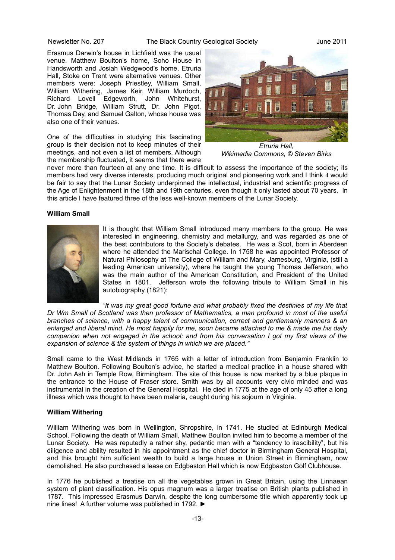Erasmus Darwin's house in Lichfield was the usual venue. Matthew Boulton's home, Soho House in Handsworth and Josiah Wedgwood's home, Etruria Hall, Stoke on Trent were alternative venues. Other members were: Joseph Priestley, William Small, William Withering, James Keir, William Murdoch, Richard Lovell Edgeworth, John Whitehurst, Dr. John Bridge, William Strutt, Dr. John Pigot, Thomas Day, and Samuel Galton, whose house was also one of their venues.

One of the difficulties in studying this fascinating group is their decision not to keep minutes of their meetings, and not even a list of members. Although the membership fluctuated, it seems that there were



*Etruria Hall, Wikimedia Commons, © Steven Birks*

never more than fourteen at any one time. It is difficult to assess the importance of the society; its members had very diverse interests, producing much original and pioneering work and I think it would be fair to say that the Lunar Society underpinned the intellectual, industrial and scientific progress of the Age of Enlightenment in the 18th and 19th centuries, even though it only lasted about 70 years. In this article I have featured three of the less well-known members of the Lunar Society.

#### **William Small**



It is thought that William Small introduced many members to the group. He was interested in engineering, chemistry and metallurgy, and was regarded as one of the best contributors to the Society's debates. He was a Scot, born in Aberdeen where he attended the Marischal College. In 1758 he was appointed Professor of Natural Philosophy at The College of William and Mary, Jamesburg, Virginia, (still a leading American university), where he taught the young Thomas Jefferson, who was the main author of the American Constitution, and President of the United States in 1801. Jefferson wrote the following tribute to William Small in his autobiography (1821):

*"It was my great good fortune and what probably fixed the destinies of my life that Dr Wm Small of Scotland was then professor of Mathematics, a man profound in most of the useful branches of science, with a happy talent of communication, correct and gentlemanly manners & an enlarged and liberal mind. He most happily for me, soon became attached to me & made me his daily companion when not engaged in the school; and from his conversation I got my first views of the expansion of science & the system of things in which we are placed."*

Small came to the West Midlands in 1765 with a letter of introduction from Benjamin Franklin to Matthew Boulton. Following Boulton's advice, he started a medical practice in a house shared with Dr. John Ash in Temple Row, Birmingham. The site of this house is now marked by a blue plaque in the entrance to the House of Fraser store. Smith was by all accounts very civic minded and was instrumental in the creation of the General Hospital. He died in 1775 at the age of only 45 after a long illness which was thought to have been malaria, caught during his sojourn in Virginia.

#### **William Withering**

William Withering was born in Wellington, Shropshire, in 1741. He studied at Edinburgh Medical School. Following the death of William Small, Matthew Boulton invited him to become a member of the Lunar Society. He was reputedly a rather shy, pedantic man with a "tendency to irascibility", but his diligence and ability resulted in his appointment as the chief doctor in Birmingham General Hospital, and this brought him sufficient wealth to build a large house in Union Street in Birmingham, now demolished. He also purchased a lease on Edgbaston Hall which is now Edgbaston Golf Clubhouse.

In 1776 he published a treatise on all the vegetables grown in Great Britain, using the Linnaean system of plant classification. His opus magnum was a larger treatise on British plants published in 1787. This impressed Erasmus Darwin, despite the long cumbersome title which apparently took up nine lines! A further volume was published in 1792. ►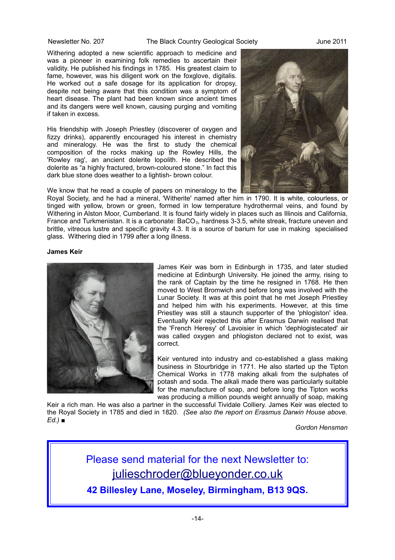Withering adopted a new scientific approach to medicine and was a pioneer in examining folk remedies to ascertain their validity. He published his findings in 1785. His greatest claim to fame, however, was his diligent work on the foxglove, digitalis. He worked out a safe dosage for its application for dropsy, despite not being aware that this condition was a symptom of heart disease. The plant had been known since ancient times and its dangers were well known, causing purging and vomiting if taken in excess.

His friendship with Joseph Priestley (discoverer of oxygen and fizzy drinks), apparently encouraged his interest in chemistry and mineralogy. He was the first to study the chemical composition of the rocks making up the Rowley Hills, the 'Rowley rag', an ancient dolerite lopolith. He described the dolerite as "a highly fractured, brown-coloured stone." In fact this dark blue stone does weather to a lightish- brown colour.

We know that he read a couple of papers on mineralogy to the



Royal Society, and he had a mineral, 'Witherite' named after him in 1790. It is white, colourless, or tinged with yellow, brown or green, formed in low temperature hydrothermal veins, and found by Withering in Alston Moor, Cumberland. It is found fairly widely in places such as Illinois and California, France and Turkmenistan. It is a carbonate:  $BACO<sub>3</sub>$ , hardness 3-3.5, white streak, fracture uneven and brittle, vitreous lustre and specific gravity 4.3. It is a source of barium for use in making specialised glass. Withering died in 1799 after a long illness.

#### **James Keir**



James Keir was born in Edinburgh in 1735, and later studied medicine at Edinburgh University. He joined the army, rising to the rank of Captain by the time he resigned in 1768. He then moved to West Bromwich and before long was involved with the Lunar Society. It was at this point that he met Joseph Priestley and helped him with his experiments. However, at this time Priestley was still a staunch supporter of the 'phlogiston' idea. Eventually Keir rejected this after Erasmus Darwin realised that the 'French Heresy' of Lavoisier in which 'dephlogistecated' air was called oxygen and phlogiston declared not to exist, was correct.

Keir ventured into industry and co-established a glass making business in Stourbridge in 1771. He also started up the Tipton Chemical Works in 1778 making alkali from the sulphates of potash and soda. The alkali made there was particularly suitable for the manufacture of soap, and before long the Tipton works was producing a million pounds weight annually of soap, making

Keir a rich man. He was also a partner in the successful Tividale Colliery. James Keir was elected to the Royal Society in 1785 and died in 1820. *(See also the report on Erasmus Darwin House above. Ed.) ■*

*Gordon Hensman*

Please send material for the next Newsletter to: [julieschroder@blueyonder.co.uk](mailto:julieschroder@blueyonder.co.uk)

**42 Billesley Lane, Moseley, Birmingham, B13 9QS.**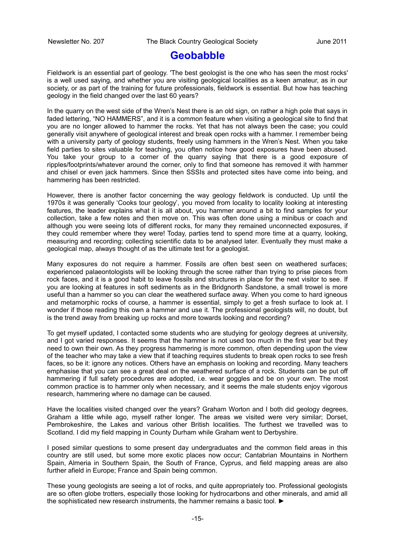### **Geobabble**

Fieldwork is an essential part of geology. 'The best geologist is the one who has seen the most rocks' is a well used saying, and whether you are visiting geological localities as a keen amateur, as in our society, or as part of the training for future professionals, fieldwork is essential. But how has teaching geology in the field changed over the last 60 years?

In the quarry on the west side of the Wren's Nest there is an old sign, on rather a high pole that says in faded lettering, "NO HAMMERS", and it is a common feature when visiting a geological site to find that you are no longer allowed to hammer the rocks. Yet that has not always been the case; you could generally visit anywhere of geological interest and break open rocks with a hammer. I remember being with a university party of geology students, freely using hammers in the Wren's Nest. When you take field parties to sites valuable for teaching, you often notice how good exposures have been abused. You take your group to a corner of the quarry saying that there is a good exposure of ripples/footprints/whatever around the corner, only to find that someone has removed it with hammer and chisel or even jack hammers. Since then SSSIs and protected sites have come into being, and hammering has been restricted.

However, there is another factor concerning the way geology fieldwork is conducted. Up until the 1970s it was generally 'Cooks tour geology', you moved from locality to locality looking at interesting features, the leader explains what it is all about, you hammer around a bit to find samples for your collection, take a few notes and then move on. This was often done using a minibus or coach and although you were seeing lots of different rocks, for many they remained unconnected exposures, if they could remember where they were! Today, parties tend to spend more time at a quarry, looking, measuring and recording; collecting scientific data to be analysed later. Eventually they must make a geological map, always thought of as the ultimate test for a geologist.

Many exposures do not require a hammer. Fossils are often best seen on weathered surfaces; experienced palaeontologists will be looking through the scree rather than trying to prise pieces from rock faces, and it is a good habit to leave fossils and structures in place for the next visitor to see. If you are looking at features in soft sediments as in the Bridgnorth Sandstone, a small trowel is more useful than a hammer so you can clear the weathered surface away. When you come to hard igneous and metamorphic rocks of course, a hammer is essential, simply to get a fresh surface to look at. I wonder if those reading this own a hammer and use it. The professional geologists will, no doubt, but is the trend away from breaking up rocks and more towards looking and recording?

To get myself updated, I contacted some students who are studying for geology degrees at university, and I got varied responses. It seems that the hammer is not used too much in the first year but they need to own their own. As they progress hammering is more common, often depending upon the view of the teacher who may take a view that if teaching requires students to break open rocks to see fresh faces, so be it: ignore any notices. Others have an emphasis on looking and recording. Many teachers emphasise that you can see a great deal on the weathered surface of a rock. Students can be put off hammering if full safety procedures are adopted, i.e. wear goggles and be on your own. The most common practice is to hammer only when necessary, and it seems the male students enjoy vigorous research, hammering where no damage can be caused.

Have the localities visited changed over the years? Graham Worton and I both did geology degrees, Graham a little while ago, myself rather longer. The areas we visited were very similar; Dorset, Pembrokeshire, the Lakes and various other British localities. The furthest we travelled was to Scotland. I did my field mapping in County Durham while Graham went to Derbyshire.

I posed similar questions to some present day undergraduates and the common field areas in this country are still used, but some more exotic places now occur; Cantabrian Mountains in Northern Spain, Almeria in Southern Spain, the South of France, Cyprus, and field mapping areas are also further afield in Europe; France and Spain being common.

These young geologists are seeing a lot of rocks, and quite appropriately too. Professional geologists are so often globe trotters, especially those looking for hydrocarbons and other minerals, and amid all the sophisticated new research instruments, the hammer remains a basic tool. ►